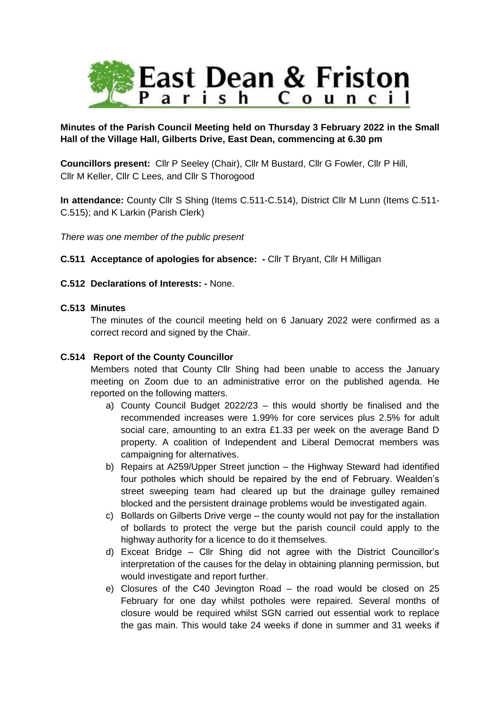

# **Minutes of the Parish Council Meeting held on Thursday 3 February 2022 in the Small Hall of the Village Hall, Gilberts Drive, East Dean, commencing at 6.30 pm**

**Councillors present:** Cllr P Seeley (Chair), Cllr M Bustard, Cllr G Fowler, Cllr P Hill, Cllr M Keller, Cllr C Lees, and Cllr S Thorogood

**In attendance:** County Cllr S Shing (Items C.511-C.514), District Cllr M Lunn (Items C.511- C.515); and K Larkin (Parish Clerk)

*There was one member of the public present*

## **C.511 Acceptance of apologies for absence: -** Cllr T Bryant, Cllr H Milligan

## **C.512 Declarations of Interests: -** None.

## **C.513 Minutes**

The minutes of the council meeting held on 6 January 2022 were confirmed as a correct record and signed by the Chair.

## **C.514 Report of the County Councillor**

Members noted that County Cllr Shing had been unable to access the January meeting on Zoom due to an administrative error on the published agenda. He reported on the following matters.

- a) County Council Budget 2022/23 this would shortly be finalised and the recommended increases were 1.99% for core services plus 2.5% for adult social care, amounting to an extra £1.33 per week on the average Band D property. A coalition of Independent and Liberal Democrat members was campaigning for alternatives.
- b) Repairs at A259/Upper Street junction the Highway Steward had identified four potholes which should be repaired by the end of February. Wealden's street sweeping team had cleared up but the drainage gulley remained blocked and the persistent drainage problems would be investigated again.
- c) Bollards on Gilberts Drive verge the county would not pay for the installation of bollards to protect the verge but the parish council could apply to the highway authority for a licence to do it themselves.
- d) Exceat Bridge Cllr Shing did not agree with the District Councillor's interpretation of the causes for the delay in obtaining planning permission, but would investigate and report further.
- e) Closures of the C40 Jevington Road the road would be closed on 25 February for one day whilst potholes were repaired. Several months of closure would be required whilst SGN carried out essential work to replace the gas main. This would take 24 weeks if done in summer and 31 weeks if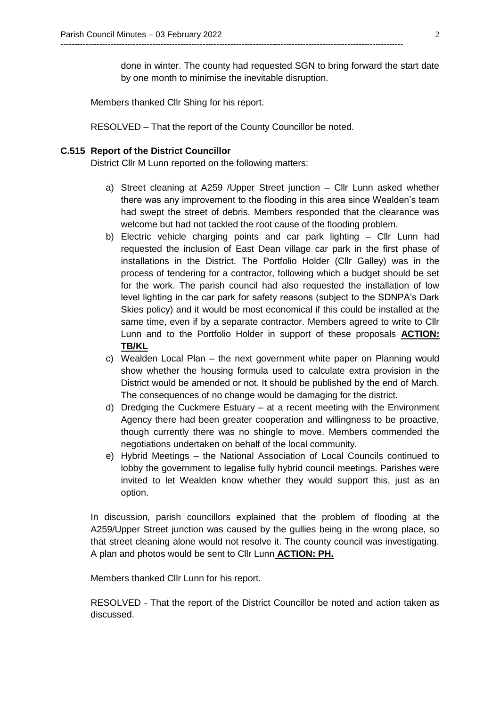done in winter. The county had requested SGN to bring forward the start date by one month to minimise the inevitable disruption.

Members thanked Cllr Shing for his report.

RESOLVED – That the report of the County Councillor be noted.

---------------------------------------------------------------------------------------------------------------------------

## **C.515 Report of the District Councillor**

District Cllr M Lunn reported on the following matters:

- a) Street cleaning at A259 /Upper Street junction Cllr Lunn asked whether there was any improvement to the flooding in this area since Wealden's team had swept the street of debris. Members responded that the clearance was welcome but had not tackled the root cause of the flooding problem.
- b) Electric vehicle charging points and car park lighting Cllr Lunn had requested the inclusion of East Dean village car park in the first phase of installations in the District. The Portfolio Holder (Cllr Galley) was in the process of tendering for a contractor, following which a budget should be set for the work. The parish council had also requested the installation of low level lighting in the car park for safety reasons (subject to the SDNPA's Dark Skies policy) and it would be most economical if this could be installed at the same time, even if by a separate contractor. Members agreed to write to Cllr Lunn and to the Portfolio Holder in support of these proposals **ACTION: TB/KL**
- c) Wealden Local Plan the next government white paper on Planning would show whether the housing formula used to calculate extra provision in the District would be amended or not. It should be published by the end of March. The consequences of no change would be damaging for the district.
- d) Dredging the Cuckmere Estuary at a recent meeting with the Environment Agency there had been greater cooperation and willingness to be proactive, though currently there was no shingle to move. Members commended the negotiations undertaken on behalf of the local community.
- e) Hybrid Meetings the National Association of Local Councils continued to lobby the government to legalise fully hybrid council meetings. Parishes were invited to let Wealden know whether they would support this, just as an option.

In discussion, parish councillors explained that the problem of flooding at the A259/Upper Street junction was caused by the gullies being in the wrong place, so that street cleaning alone would not resolve it. The county council was investigating. A plan and photos would be sent to Cllr Lunn **ACTION: PH.**

Members thanked Cllr Lunn for his report.

RESOLVED - That the report of the District Councillor be noted and action taken as discussed.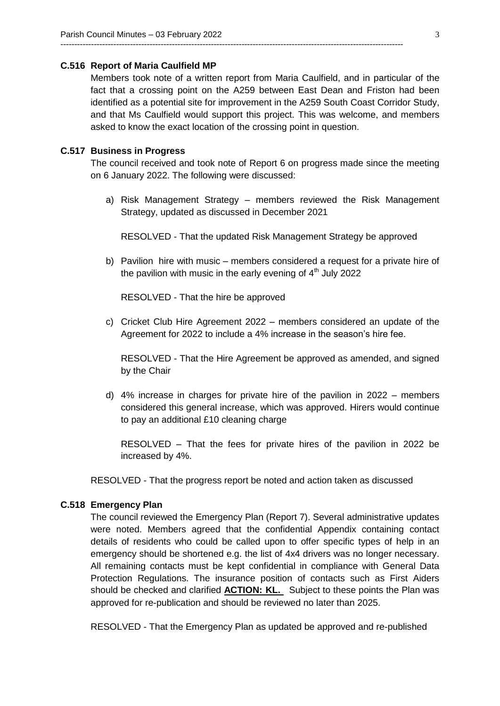#### **C.516 Report of Maria Caulfield MP**

Members took note of a written report from Maria Caulfield, and in particular of the fact that a crossing point on the A259 between East Dean and Friston had been identified as a potential site for improvement in the A259 South Coast Corridor Study, and that Ms Caulfield would support this project. This was welcome, and members asked to know the exact location of the crossing point in question.

---------------------------------------------------------------------------------------------------------------------------

### **C.517 Business in Progress**

The council received and took note of Report 6 on progress made since the meeting on 6 January 2022. The following were discussed:

a) Risk Management Strategy – members reviewed the Risk Management Strategy, updated as discussed in December 2021

RESOLVED - That the updated Risk Management Strategy be approved

b) Pavilion hire with music – members considered a request for a private hire of the pavilion with music in the early evening of  $4<sup>th</sup>$  July 2022

RESOLVED - That the hire be approved

c) Cricket Club Hire Agreement 2022 – members considered an update of the Agreement for 2022 to include a 4% increase in the season's hire fee.

RESOLVED - That the Hire Agreement be approved as amended, and signed by the Chair

d) 4% increase in charges for private hire of the pavilion in 2022 – members considered this general increase, which was approved. Hirers would continue to pay an additional £10 cleaning charge

RESOLVED – That the fees for private hires of the pavilion in 2022 be increased by 4%.

RESOLVED - That the progress report be noted and action taken as discussed

#### **C.518 Emergency Plan**

The council reviewed the Emergency Plan (Report 7). Several administrative updates were noted. Members agreed that the confidential Appendix containing contact details of residents who could be called upon to offer specific types of help in an emergency should be shortened e.g. the list of 4x4 drivers was no longer necessary. All remaining contacts must be kept confidential in compliance with General Data Protection Regulations. The insurance position of contacts such as First Aiders should be checked and clarified **ACTION: KL.** Subject to these points the Plan was approved for re-publication and should be reviewed no later than 2025.

RESOLVED - That the Emergency Plan as updated be approved and re-published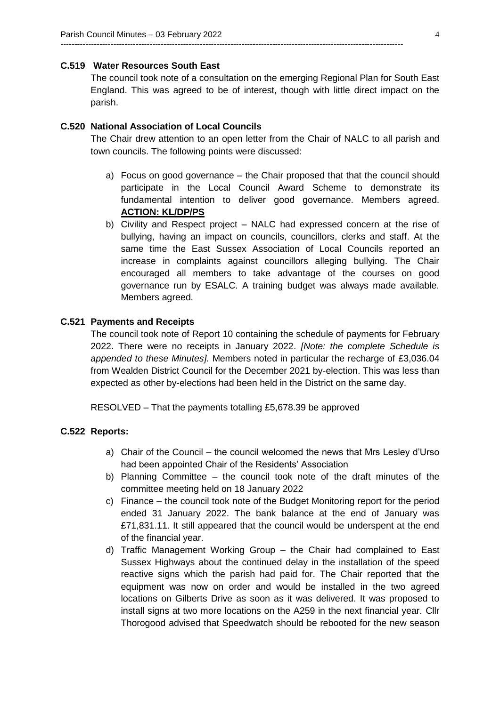## **C.519 Water Resources South East**

The council took note of a consultation on the emerging Regional Plan for South East England. This was agreed to be of interest, though with little direct impact on the parish.

---------------------------------------------------------------------------------------------------------------------------

## **C.520 National Association of Local Councils**

The Chair drew attention to an open letter from the Chair of NALC to all parish and town councils. The following points were discussed:

- a) Focus on good governance the Chair proposed that that the council should participate in the Local Council Award Scheme to demonstrate its fundamental intention to deliver good governance. Members agreed. **ACTION: KL/DP/PS**
- b) Civility and Respect project NALC had expressed concern at the rise of bullying, having an impact on councils, councillors, clerks and staff. At the same time the East Sussex Association of Local Councils reported an increase in complaints against councillors alleging bullying. The Chair encouraged all members to take advantage of the courses on good governance run by ESALC. A training budget was always made available. Members agreed.

### **C.521 Payments and Receipts**

The council took note of Report 10 containing the schedule of payments for February 2022. There were no receipts in January 2022. *[Note: the complete Schedule is appended to these Minutes].* Members noted in particular the recharge of £3,036.04 from Wealden District Council for the December 2021 by-election. This was less than expected as other by-elections had been held in the District on the same day.

RESOLVED – That the payments totalling £5,678.39 be approved

## **C.522 Reports:**

- a) Chair of the Council the council welcomed the news that Mrs Lesley d'Urso had been appointed Chair of the Residents' Association
- b) Planning Committee the council took note of the draft minutes of the committee meeting held on 18 January 2022
- c) Finance the council took note of the Budget Monitoring report for the period ended 31 January 2022. The bank balance at the end of January was £71,831.11. It still appeared that the council would be underspent at the end of the financial year.
- d) Traffic Management Working Group the Chair had complained to East Sussex Highways about the continued delay in the installation of the speed reactive signs which the parish had paid for. The Chair reported that the equipment was now on order and would be installed in the two agreed locations on Gilberts Drive as soon as it was delivered. It was proposed to install signs at two more locations on the A259 in the next financial year. Cllr Thorogood advised that Speedwatch should be rebooted for the new season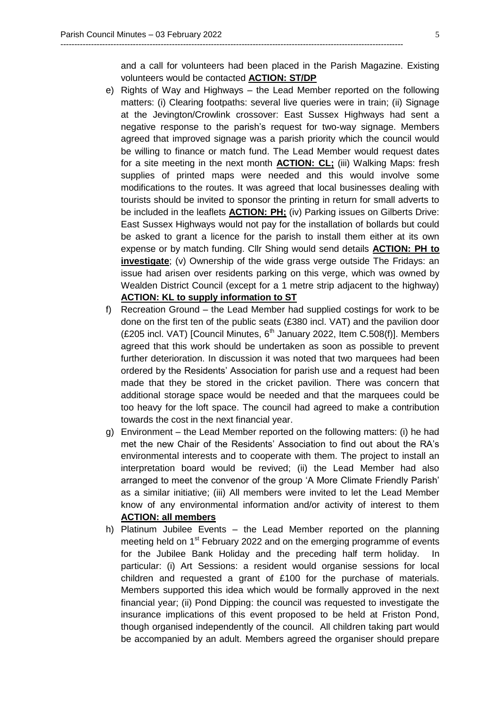and a call for volunteers had been placed in the Parish Magazine. Existing volunteers would be contacted **ACTION: ST/DP**

---------------------------------------------------------------------------------------------------------------------------

- e) Rights of Way and Highways the Lead Member reported on the following matters: (i) Clearing footpaths: several live queries were in train; (ii) Signage at the Jevington/Crowlink crossover: East Sussex Highways had sent a negative response to the parish's request for two-way signage. Members agreed that improved signage was a parish priority which the council would be willing to finance or match fund. The Lead Member would request dates for a site meeting in the next month **ACTION: CL;** (iii) Walking Maps: fresh supplies of printed maps were needed and this would involve some modifications to the routes. It was agreed that local businesses dealing with tourists should be invited to sponsor the printing in return for small adverts to be included in the leaflets **ACTION: PH;** (iv) Parking issues on Gilberts Drive: East Sussex Highways would not pay for the installation of bollards but could be asked to grant a licence for the parish to install them either at its own expense or by match funding. Cllr Shing would send details **ACTION: PH to investigate**; (v) Ownership of the wide grass verge outside The Fridays: an issue had arisen over residents parking on this verge, which was owned by Wealden District Council (except for a 1 metre strip adjacent to the highway) **ACTION: KL to supply information to ST**
- f) Recreation Ground the Lead Member had supplied costings for work to be done on the first ten of the public seats (£380 incl. VAT) and the pavilion door (£205 incl. VAT) [Council Minutes,  $6<sup>th</sup>$  January 2022, Item C.508(f)]. Members agreed that this work should be undertaken as soon as possible to prevent further deterioration. In discussion it was noted that two marquees had been ordered by the Residents' Association for parish use and a request had been made that they be stored in the cricket pavilion. There was concern that additional storage space would be needed and that the marquees could be too heavy for the loft space. The council had agreed to make a contribution towards the cost in the next financial year.
- g) Environment the Lead Member reported on the following matters: (i) he had met the new Chair of the Residents' Association to find out about the RA's environmental interests and to cooperate with them. The project to install an interpretation board would be revived; (ii) the Lead Member had also arranged to meet the convenor of the group 'A More Climate Friendly Parish' as a similar initiative; (iii) All members were invited to let the Lead Member know of any environmental information and/or activity of interest to them **ACTION: all members**
- h) Platinum Jubilee Events the Lead Member reported on the planning meeting held on 1<sup>st</sup> February 2022 and on the emerging programme of events for the Jubilee Bank Holiday and the preceding half term holiday. In particular: (i) Art Sessions: a resident would organise sessions for local children and requested a grant of £100 for the purchase of materials. Members supported this idea which would be formally approved in the next financial year; (ii) Pond Dipping: the council was requested to investigate the insurance implications of this event proposed to be held at Friston Pond, though organised independently of the council. All children taking part would be accompanied by an adult. Members agreed the organiser should prepare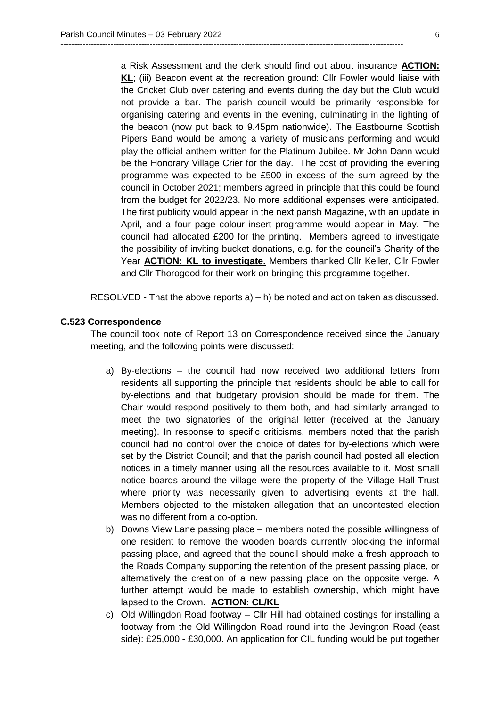a Risk Assessment and the clerk should find out about insurance **ACTION: KL**; (iii) Beacon event at the recreation ground: Cllr Fowler would liaise with the Cricket Club over catering and events during the day but the Club would not provide a bar. The parish council would be primarily responsible for organising catering and events in the evening, culminating in the lighting of the beacon (now put back to 9.45pm nationwide). The Eastbourne Scottish Pipers Band would be among a variety of musicians performing and would play the official anthem written for the Platinum Jubilee. Mr John Dann would be the Honorary Village Crier for the day. The cost of providing the evening programme was expected to be £500 in excess of the sum agreed by the council in October 2021; members agreed in principle that this could be found from the budget for 2022/23. No more additional expenses were anticipated. The first publicity would appear in the next parish Magazine, with an update in April, and a four page colour insert programme would appear in May. The council had allocated £200 for the printing. Members agreed to investigate the possibility of inviting bucket donations, e.g. for the council's Charity of the Year **ACTION: KL to investigate.** Members thanked Cllr Keller, Cllr Fowler and Cllr Thorogood for their work on bringing this programme together.

---------------------------------------------------------------------------------------------------------------------------

RESOLVED - That the above reports a) – h) be noted and action taken as discussed.

### **C.523 Correspondence**

The council took note of Report 13 on Correspondence received since the January meeting, and the following points were discussed:

- a) By-elections the council had now received two additional letters from residents all supporting the principle that residents should be able to call for by-elections and that budgetary provision should be made for them. The Chair would respond positively to them both, and had similarly arranged to meet the two signatories of the original letter (received at the January meeting). In response to specific criticisms, members noted that the parish council had no control over the choice of dates for by-elections which were set by the District Council; and that the parish council had posted all election notices in a timely manner using all the resources available to it. Most small notice boards around the village were the property of the Village Hall Trust where priority was necessarily given to advertising events at the hall. Members objected to the mistaken allegation that an uncontested election was no different from a co-option.
- b) Downs View Lane passing place members noted the possible willingness of one resident to remove the wooden boards currently blocking the informal passing place, and agreed that the council should make a fresh approach to the Roads Company supporting the retention of the present passing place, or alternatively the creation of a new passing place on the opposite verge. A further attempt would be made to establish ownership, which might have lapsed to the Crown. **ACTION: CL/KL**
- c) Old Willingdon Road footway Cllr Hill had obtained costings for installing a footway from the Old Willingdon Road round into the Jevington Road (east side): £25,000 - £30,000. An application for CIL funding would be put together